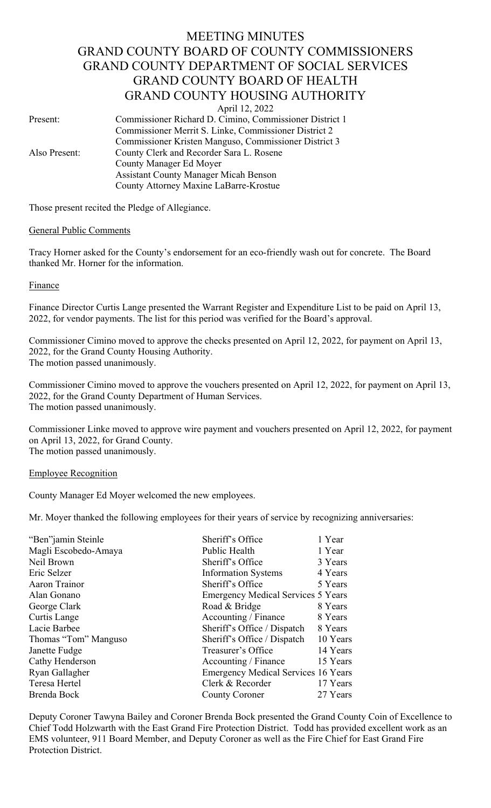# MEETING MINUTES GRAND COUNTY BOARD OF COUNTY COMMISSIONERS GRAND COUNTY DEPARTMENT OF SOCIAL SERVICES GRAND COUNTY BOARD OF HEALTH GRAND COUNTY HOUSING AUTHORITY

April 12, 2022

Present: Commissioner Richard D. Cimino, Commissioner District 1 Commissioner Merrit S. Linke, Commissioner District 2 Commissioner Kristen Manguso, Commissioner District 3 Also Present: County Clerk and Recorder Sara L. Rosene County Manager Ed Moyer Assistant County Manager Micah Benson County Attorney Maxine LaBarre-Krostue

Those present recited the Pledge of Allegiance.

## General Public Comments

Tracy Horner asked for the County's endorsement for an eco-friendly wash out for concrete. The Board thanked Mr. Horner for the information.

Finance

Finance Director Curtis Lange presented the Warrant Register and Expenditure List to be paid on April 13, 2022, for vendor payments. The list for this period was verified for the Board's approval.

Commissioner Cimino moved to approve the checks presented on April 12, 2022, for payment on April 13, 2022, for the Grand County Housing Authority. The motion passed unanimously.

Commissioner Cimino moved to approve the vouchers presented on April 12, 2022, for payment on April 13, 2022, for the Grand County Department of Human Services. The motion passed unanimously.

Commissioner Linke moved to approve wire payment and vouchers presented on April 12, 2022, for payment on April 13, 2022, for Grand County. The motion passed unanimously.

## Employee Recognition

County Manager Ed Moyer welcomed the new employees.

Mr. Moyer thanked the following employees for their years of service by recognizing anniversaries:

| "Ben"jamin Steinle   | Sheriff's Office                           | 1 Year   |
|----------------------|--------------------------------------------|----------|
| Magli Escobedo-Amaya | Public Health                              | 1 Year   |
| Neil Brown           | Sheriff's Office                           | 3 Years  |
| Eric Selzer          | <b>Information Systems</b>                 | 4 Years  |
| Aaron Trainor        | Sheriff's Office                           | 5 Years  |
| Alan Gonano          | <b>Emergency Medical Services 5 Years</b>  |          |
| George Clark         | Road & Bridge                              | 8 Years  |
| Curtis Lange         | Accounting / Finance                       | 8 Years  |
| Lacie Barbee         | Sheriff's Office / Dispatch                | 8 Years  |
| Thomas "Tom" Manguso | Sheriff's Office / Dispatch                | 10 Years |
| Janette Fudge        | Treasurer's Office                         | 14 Years |
| Cathy Henderson      | Accounting / Finance                       | 15 Years |
| Ryan Gallagher       | <b>Emergency Medical Services 16 Years</b> |          |
| Teresa Hertel        | Clerk & Recorder                           | 17 Years |
| Brenda Bock          | <b>County Coroner</b>                      | 27 Years |
|                      |                                            |          |

Deputy Coroner Tawyna Bailey and Coroner Brenda Bock presented the Grand County Coin of Excellence to Chief Todd Holzwarth with the East Grand Fire Protection District. Todd has provided excellent work as an EMS volunteer, 911 Board Member, and Deputy Coroner as well as the Fire Chief for East Grand Fire Protection District.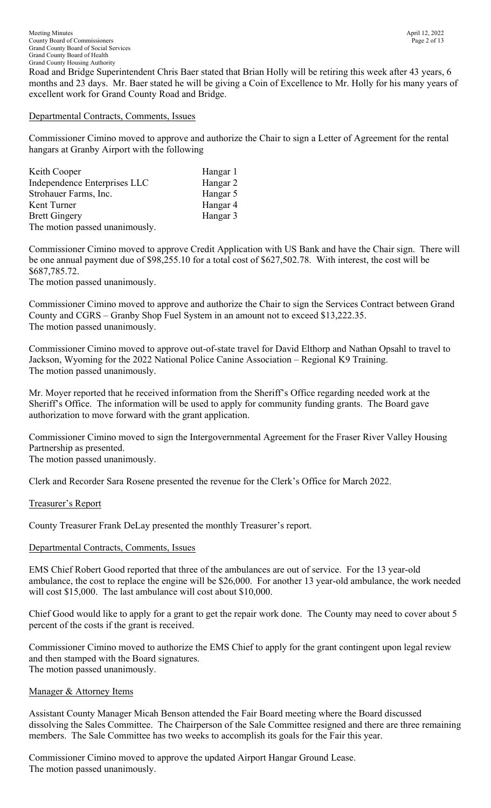Road and Bridge Superintendent Chris Baer stated that Brian Holly will be retiring this week after 43 years, 6 months and 23 days. Mr. Baer stated he will be giving a Coin of Excellence to Mr. Holly for his many years of excellent work for Grand County Road and Bridge.

## Departmental Contracts, Comments, Issues

Commissioner Cimino moved to approve and authorize the Chair to sign a Letter of Agreement for the rental hangars at Granby Airport with the following

| Keith Cooper                   | Hangar 1 |
|--------------------------------|----------|
| Independence Enterprises LLC   | Hangar 2 |
| Strohauer Farms, Inc.          | Hangar 5 |
| Kent Turner                    | Hangar 4 |
| <b>Brett Gingery</b>           | Hangar 3 |
| The motion passed unanimously. |          |

Commissioner Cimino moved to approve Credit Application with US Bank and have the Chair sign. There will be one annual payment due of \$98,255.10 for a total cost of \$627,502.78. With interest, the cost will be \$687,785.72.

The motion passed unanimously.

Commissioner Cimino moved to approve and authorize the Chair to sign the Services Contract between Grand County and CGRS – Granby Shop Fuel System in an amount not to exceed \$13,222.35. The motion passed unanimously.

Commissioner Cimino moved to approve out-of-state travel for David Elthorp and Nathan Opsahl to travel to Jackson, Wyoming for the 2022 National Police Canine Association – Regional K9 Training. The motion passed unanimously.

Mr. Moyer reported that he received information from the Sheriff's Office regarding needed work at the Sheriff's Office. The information will be used to apply for community funding grants. The Board gave authorization to move forward with the grant application.

Commissioner Cimino moved to sign the Intergovernmental Agreement for the Fraser River Valley Housing Partnership as presented. The motion passed unanimously.

Clerk and Recorder Sara Rosene presented the revenue for the Clerk's Office for March 2022.

# Treasurer's Report

County Treasurer Frank DeLay presented the monthly Treasurer's report.

# Departmental Contracts, Comments, Issues

EMS Chief Robert Good reported that three of the ambulances are out of service. For the 13 year-old ambulance, the cost to replace the engine will be \$26,000. For another 13 year-old ambulance, the work needed will cost \$15,000. The last ambulance will cost about \$10,000.

Chief Good would like to apply for a grant to get the repair work done. The County may need to cover about 5 percent of the costs if the grant is received.

Commissioner Cimino moved to authorize the EMS Chief to apply for the grant contingent upon legal review and then stamped with the Board signatures. The motion passed unanimously.

## Manager & Attorney Items

Assistant County Manager Micah Benson attended the Fair Board meeting where the Board discussed dissolving the Sales Committee. The Chairperson of the Sale Committee resigned and there are three remaining members. The Sale Committee has two weeks to accomplish its goals for the Fair this year.

Commissioner Cimino moved to approve the updated Airport Hangar Ground Lease. The motion passed unanimously.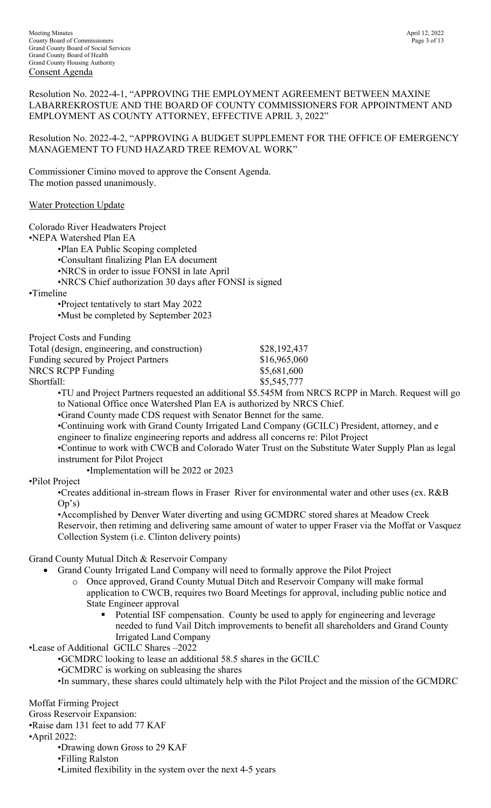Resolution No. 2022-4-1, "APPROVING THE EMPLOYMENT AGREEMENT BETWEEN MAXINE LABARREKROSTUE AND THE BOARD OF COUNTY COMMISSIONERS FOR APPOINTMENT AND EMPLOYMENT AS COUNTY ATTORNEY, EFFECTIVE APRIL 3, 2022"

Resolution No. 2022-4-2, "APPROVING A BUDGET SUPPLEMENT FOR THE OFFICE OF EMERGENCY MANAGEMENT TO FUND HAZARD TREE REMOVAL WORK"

Commissioner Cimino moved to approve the Consent Agenda. The motion passed unanimously.

## Water Protection Update

| Colorado River Headwaters Project<br>•NEPA Watershed Plan EA<br>•Plan EA Public Scoping completed<br>•Consultant finalizing Plan EA document<br>•NRCS in order to issue FONSI in late April<br>•NRCS Chief authorization 30 days after FONSI is signed<br>•Timeline<br>•Project tentatively to start May 2022<br>•Must be completed by September 2023                                                     |                                                                                                                                                                                                                                                                       |
|-----------------------------------------------------------------------------------------------------------------------------------------------------------------------------------------------------------------------------------------------------------------------------------------------------------------------------------------------------------------------------------------------------------|-----------------------------------------------------------------------------------------------------------------------------------------------------------------------------------------------------------------------------------------------------------------------|
| Project Costs and Funding<br>Total (design, engineering, and construction)<br>Funding secured by Project Partners<br><b>NRCS RCPP Funding</b><br>Shortfall:                                                                                                                                                                                                                                               | \$28,192,437<br>\$16,965,060<br>\$5,681,600                                                                                                                                                                                                                           |
| to National Office once Watershed Plan EA is authorized by NRCS Chief.<br>•Grand County made CDS request with Senator Bennet for the same.<br>•Continuing work with Grand County Irrigated Land Company (GCILC) President, attorney, and e<br>engineer to finalize engineering reports and address all concerns re: Pilot Project<br>instrument for Pilot Project<br>•Implementation will be 2022 or 2023 | \$5,545,777<br>•TU and Project Partners requested an additional \$5.545M from NRCS RCPP in March. Request will go<br>•Continue to work with CWCB and Colorado Water Trust on the Substitute Water Supply Plan as legal                                                |
| •Pilot Project<br>•Creates additional in-stream flows in Fraser River for environmental water and other uses (ex. R&B<br>Op's)<br>•Accomplished by Denver Water diverting and using GCMDRC stored shares at Meadow Creek<br>Collection System (i.e. Clinton delivery points)                                                                                                                              | Reservoir, then retiming and delivering same amount of water to upper Fraser via the Moffat or Vasquez                                                                                                                                                                |
| Grand County Mutual Ditch & Reservoir Company<br>Grand County Irrigated Land Company will need to formally approve the Pilot Project<br>$\bullet$<br>Once approved, Grand County Mutual Ditch and Reservoir Company will make formal<br>$\circ$<br>State Engineer approval<br><b>Irrigated Land Company</b><br>•Lease of Additional GCILC Shares -2022                                                    | application to CWCB, requires two Board Meetings for approval, including public notice and<br>Potential ISF compensation. County be used to apply for engineering and leverage<br>needed to fund Vail Ditch improvements to benefit all shareholders and Grand County |
| •GCMDRC looking to lease an additional 58.5 shares in the GCILC<br>•GCMDRC is working on subleasing the shares                                                                                                                                                                                                                                                                                            | •In summary, these shares could ultimately help with the Pilot Project and the mission of the GCMDRC                                                                                                                                                                  |
| Moffat Firming Project<br>Gross Reservoir Expansion:<br>•Raise dam 131 feet to add 77 KAF<br>$\cdot$ April 2022:<br>•Drawing down Gross to 29 KAF<br>•Filling Ralston<br>•Limited flexibility in the system over the next 4-5 years                                                                                                                                                                       |                                                                                                                                                                                                                                                                       |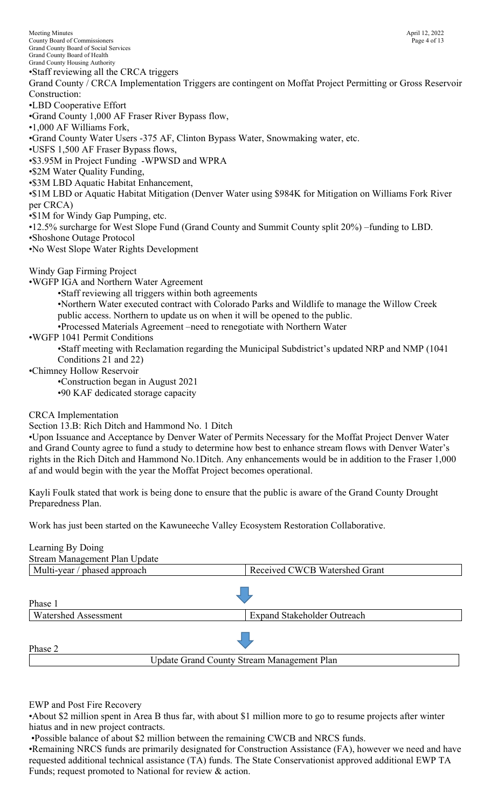Meeting Minutes April 12, 2022<br>County Board of Commissioners Page 4 of 13 County Board of Commissioners Grand County Board of Social Services Grand County Board of Health Grand County Housing Authority •Staff reviewing all the CRCA triggers Grand County / CRCA Implementation Triggers are contingent on Moffat Project Permitting or Gross Reservoir Construction: •LBD Cooperative Effort •Grand County 1,000 AF Fraser River Bypass flow, •1,000 AF Williams Fork, •Grand County Water Users -375 AF, Clinton Bypass Water, Snowmaking water, etc. •USFS 1,500 AF Fraser Bypass flows, •\$3.95M in Project Funding -WPWSD and WPRA •\$2M Water Quality Funding, •\$3M LBD Aquatic Habitat Enhancement, •\$1M LBD or Aquatic Habitat Mitigation (Denver Water using \$984K for Mitigation on Williams Fork River per CRCA) •\$1M for Windy Gap Pumping, etc. •12.5% surcharge for West Slope Fund (Grand County and Summit County split 20%) –funding to LBD. •Shoshone Outage Protocol •No West Slope Water Rights Development Windy Gap Firming Project •WGFP IGA and Northern Water Agreement •Staff reviewing all triggers within both agreements •Northern Water executed contract with Colorado Parks and Wildlife to manage the Willow Creek public access. Northern to update us on when it will be opened to the public. •Processed Materials Agreement –need to renegotiate with Northern Water •WGFP 1041 Permit Conditions •Staff meeting with Reclamation regarding the Municipal Subdistrict's updated NRP and NMP (1041 Conditions 21 and 22) •Chimney Hollow Reservoir •Construction began in August 2021 •90 KAF dedicated storage capacity

CRCA Implementation

Section 13.B: Rich Ditch and Hammond No. 1 Ditch

•Upon Issuance and Acceptance by Denver Water of Permits Necessary for the Moffat Project Denver Water and Grand County agree to fund a study to determine how best to enhance stream flows with Denver Water's rights in the Rich Ditch and Hammond No.1Ditch. Any enhancements would be in addition to the Fraser 1,000 af and would begin with the year the Moffat Project becomes operational.

Kayli Foulk stated that work is being done to ensure that the public is aware of the Grand County Drought Preparedness Plan.

Work has just been started on the Kawuneeche Valley Ecosystem Restoration Collaborative.

| Learning By Doing             |                                                   |
|-------------------------------|---------------------------------------------------|
| Stream Management Plan Update |                                                   |
| Multi-year / phased approach  | Received CWCB Watershed Grant                     |
|                               |                                                   |
| Phase 1                       |                                                   |
| Watershed Assessment          | <b>Expand Stakeholder Outreach</b>                |
| Phase 2                       | <b>Update Grand County Stream Management Plan</b> |
|                               |                                                   |

EWP and Post Fire Recovery

•About \$2 million spent in Area B thus far, with about \$1 million more to go to resume projects after winter hiatus and in new project contracts.

•Possible balance of about \$2 million between the remaining CWCB and NRCS funds.

•Remaining NRCS funds are primarily designated for Construction Assistance (FA), however we need and have requested additional technical assistance (TA) funds. The State Conservationist approved additional EWP TA Funds; request promoted to National for review & action.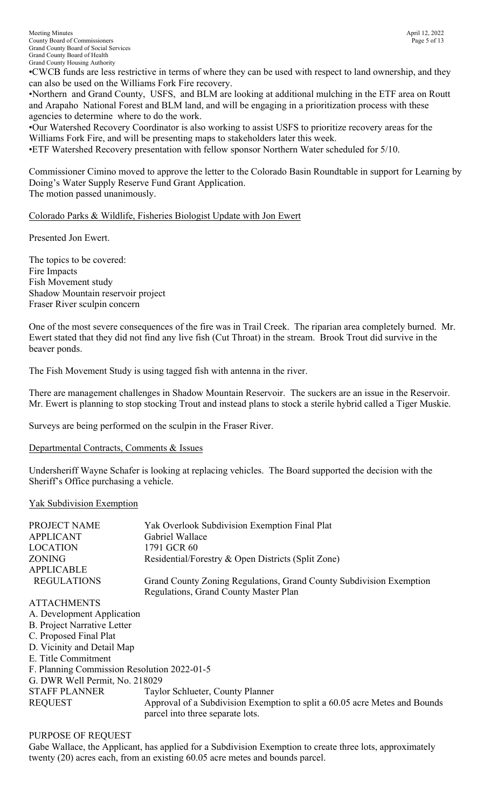•CWCB funds are less restrictive in terms of where they can be used with respect to land ownership, and they can also be used on the Williams Fork Fire recovery.

•Northern and Grand County, USFS, and BLM are looking at additional mulching in the ETF area on Routt and Arapaho National Forest and BLM land, and will be engaging in a prioritization process with these agencies to determine where to do the work.

•Our Watershed Recovery Coordinator is also working to assist USFS to prioritize recovery areas for the Williams Fork Fire, and will be presenting maps to stakeholders later this week.

•ETF Watershed Recovery presentation with fellow sponsor Northern Water scheduled for 5/10.

Commissioner Cimino moved to approve the letter to the Colorado Basin Roundtable in support for Learning by Doing's Water Supply Reserve Fund Grant Application. The motion passed unanimously.

# Colorado Parks & Wildlife, Fisheries Biologist Update with Jon Ewert

Presented Jon Ewert.

The topics to be covered: Fire Impacts Fish Movement study Shadow Mountain reservoir project Fraser River sculpin concern

One of the most severe consequences of the fire was in Trail Creek. The riparian area completely burned. Mr. Ewert stated that they did not find any live fish (Cut Throat) in the stream. Brook Trout did survive in the beaver ponds.

The Fish Movement Study is using tagged fish with antenna in the river.

There are management challenges in Shadow Mountain Reservoir. The suckers are an issue in the Reservoir. Mr. Ewert is planning to stop stocking Trout and instead plans to stock a sterile hybrid called a Tiger Muskie.

Surveys are being performed on the sculpin in the Fraser River.

Departmental Contracts, Comments & Issues

Undersheriff Wayne Schafer is looking at replacing vehicles. The Board supported the decision with the Sheriff's Office purchasing a vehicle.

## Yak Subdivision Exemption

| PROJECT NAME       | Yak Overlook Subdivision Exemption Final Plat                       |
|--------------------|---------------------------------------------------------------------|
| <b>APPLICANT</b>   | Gabriel Wallace                                                     |
| <b>LOCATION</b>    | 1791 GCR 60                                                         |
| ZONING             | Residential/Forestry & Open Districts (Split Zone)                  |
| <b>APPLICABLE</b>  |                                                                     |
| <b>REGULATIONS</b> | Grand County Zoning Regulations, Grand County Subdivision Exemption |
|                    | Regulations, Grand County Master Plan                               |
|                    |                                                                     |

ATTACHMENTS A. Development Application B. Project Narrative Letter C. Proposed Final Plat D. Vicinity and Detail Map E. Title Commitment F. Planning Commission Resolution 2022-01-5 G. DWR Well Permit, No. 218029 STAFF PLANNER Taylor Schlueter, County Planner REQUEST Approval of a Subdivision Exemption to split a 60.05 acre Metes and Bounds parcel into three separate lots.

PURPOSE OF REQUEST

Gabe Wallace, the Applicant, has applied for a Subdivision Exemption to create three lots, approximately twenty (20) acres each, from an existing 60.05 acre metes and bounds parcel.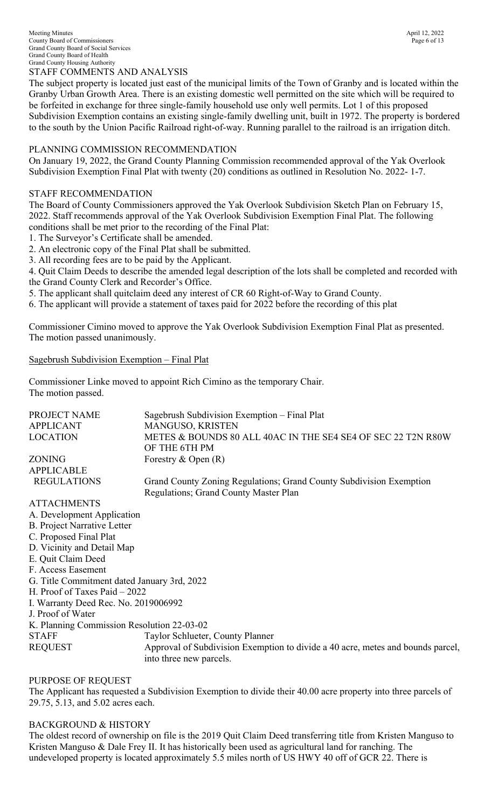The subject property is located just east of the municipal limits of the Town of Granby and is located within the Granby Urban Growth Area. There is an existing domestic well permitted on the site which will be required to be forfeited in exchange for three single-family household use only well permits. Lot 1 of this proposed Subdivision Exemption contains an existing single-family dwelling unit, built in 1972. The property is bordered to the south by the Union Pacific Railroad right-of-way. Running parallel to the railroad is an irrigation ditch.

#### PLANNING COMMISSION RECOMMENDATION

On January 19, 2022, the Grand County Planning Commission recommended approval of the Yak Overlook Subdivision Exemption Final Plat with twenty (20) conditions as outlined in Resolution No. 2022- 1-7.

#### STAFF RECOMMENDATION

The Board of County Commissioners approved the Yak Overlook Subdivision Sketch Plan on February 15, 2022. Staff recommends approval of the Yak Overlook Subdivision Exemption Final Plat. The following conditions shall be met prior to the recording of the Final Plat:

- 1. The Surveyor's Certificate shall be amended.
- 2. An electronic copy of the Final Plat shall be submitted.
- 3. All recording fees are to be paid by the Applicant.

4. Quit Claim Deeds to describe the amended legal description of the lots shall be completed and recorded with the Grand County Clerk and Recorder's Office.

5. The applicant shall quitclaim deed any interest of CR 60 Right-of-Way to Grand County.

6. The applicant will provide a statement of taxes paid for 2022 before the recording of this plat

Commissioner Cimino moved to approve the Yak Overlook Subdivision Exemption Final Plat as presented. The motion passed unanimously.

Sagebrush Subdivision Exemption – Final Plat

Commissioner Linke moved to appoint Rich Cimino as the temporary Chair. The motion passed.

| PROJECT NAME       | Sagebrush Subdivision Exemption – Final Plat                        |
|--------------------|---------------------------------------------------------------------|
| <b>APPLICANT</b>   | MANGUSO, KRISTEN                                                    |
| <b>LOCATION</b>    | METES & BOUNDS 80 ALL 40AC IN THE SE4 SE4 OF SEC 22 T2N R80W        |
|                    | OF THE 6TH PM                                                       |
| <b>ZONING</b>      | Forestry & Open $(R)$                                               |
| <b>APPLICABLE</b>  |                                                                     |
| <b>REGULATIONS</b> | Grand County Zoning Regulations; Grand County Subdivision Exemption |
|                    | <b>Regulations: Grand County Master Plan</b>                        |

ATTACHMENTS A. Development Application B. Project Narrative Letter C. Proposed Final Plat D. Vicinity and Detail Map E. Quit Claim Deed F. Access Easement G. Title Commitment dated January 3rd, 2022 H. Proof of Taxes Paid – 2022 I. Warranty Deed Rec. No. 2019006992 J. Proof of Water K. Planning Commission Resolution 22-03-02 STAFF Taylor Schlueter, County Planner REQUEST Approval of Subdivision Exemption to divide a 40 acre, metes and bounds parcel, into three new parcels.

## PURPOSE OF REQUEST

The Applicant has requested a Subdivision Exemption to divide their 40.00 acre property into three parcels of 29.75, 5.13, and 5.02 acres each.

BACKGROUND & HISTORY

The oldest record of ownership on file is the 2019 Quit Claim Deed transferring title from Kristen Manguso to Kristen Manguso & Dale Frey II. It has historically been used as agricultural land for ranching. The undeveloped property is located approximately 5.5 miles north of US HWY 40 off of GCR 22. There is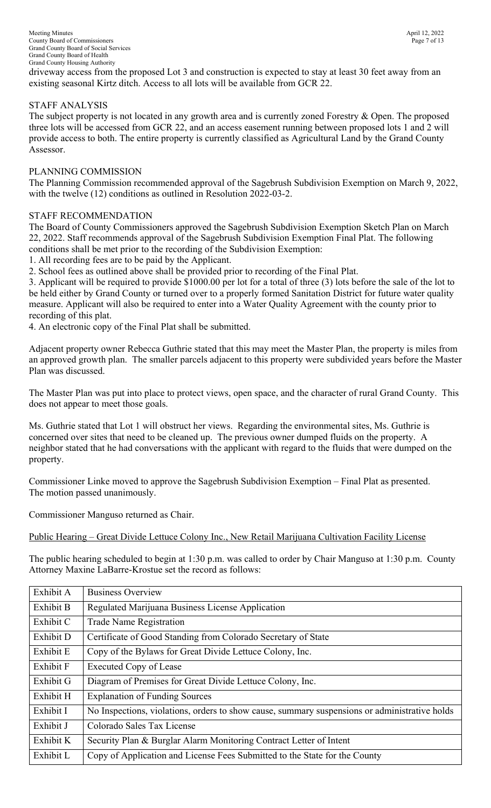driveway access from the proposed Lot 3 and construction is expected to stay at least 30 feet away from an existing seasonal Kirtz ditch. Access to all lots will be available from GCR 22.

# STAFF ANALYSIS

The subject property is not located in any growth area and is currently zoned Forestry & Open. The proposed three lots will be accessed from GCR 22, and an access easement running between proposed lots 1 and 2 will provide access to both. The entire property is currently classified as Agricultural Land by the Grand County Assessor.

## PLANNING COMMISSION

The Planning Commission recommended approval of the Sagebrush Subdivision Exemption on March 9, 2022, with the twelve (12) conditions as outlined in Resolution 2022-03-2.

## STAFF RECOMMENDATION

The Board of County Commissioners approved the Sagebrush Subdivision Exemption Sketch Plan on March 22, 2022. Staff recommends approval of the Sagebrush Subdivision Exemption Final Plat. The following conditions shall be met prior to the recording of the Subdivision Exemption:

1. All recording fees are to be paid by the Applicant.

2. School fees as outlined above shall be provided prior to recording of the Final Plat.

3. Applicant will be required to provide \$1000.00 per lot for a total of three (3) lots before the sale of the lot to be held either by Grand County or turned over to a properly formed Sanitation District for future water quality measure. Applicant will also be required to enter into a Water Quality Agreement with the county prior to recording of this plat.

4. An electronic copy of the Final Plat shall be submitted.

Adjacent property owner Rebecca Guthrie stated that this may meet the Master Plan, the property is miles from an approved growth plan. The smaller parcels adjacent to this property were subdivided years before the Master Plan was discussed.

The Master Plan was put into place to protect views, open space, and the character of rural Grand County. This does not appear to meet those goals.

Ms. Guthrie stated that Lot 1 will obstruct her views. Regarding the environmental sites, Ms. Guthrie is concerned over sites that need to be cleaned up. The previous owner dumped fluids on the property. A neighbor stated that he had conversations with the applicant with regard to the fluids that were dumped on the property.

Commissioner Linke moved to approve the Sagebrush Subdivision Exemption – Final Plat as presented. The motion passed unanimously.

Commissioner Manguso returned as Chair.

Public Hearing – Great Divide Lettuce Colony Inc., New Retail Marijuana Cultivation Facility License

The public hearing scheduled to begin at 1:30 p.m. was called to order by Chair Manguso at 1:30 p.m. County Attorney Maxine LaBarre-Krostue set the record as follows:

| Exhibit A | <b>Business Overview</b>                                                                      |
|-----------|-----------------------------------------------------------------------------------------------|
| Exhibit B | Regulated Marijuana Business License Application                                              |
| Exhibit C | <b>Trade Name Registration</b>                                                                |
| Exhibit D | Certificate of Good Standing from Colorado Secretary of State                                 |
| Exhibit E | Copy of the Bylaws for Great Divide Lettuce Colony, Inc.                                      |
| Exhibit F | <b>Executed Copy of Lease</b>                                                                 |
| Exhibit G | Diagram of Premises for Great Divide Lettuce Colony, Inc.                                     |
| Exhibit H | <b>Explanation of Funding Sources</b>                                                         |
| Exhibit I | No Inspections, violations, orders to show cause, summary suspensions or administrative holds |
| Exhibit J | Colorado Sales Tax License                                                                    |
| Exhibit K | Security Plan & Burglar Alarm Monitoring Contract Letter of Intent                            |
| Exhibit L | Copy of Application and License Fees Submitted to the State for the County                    |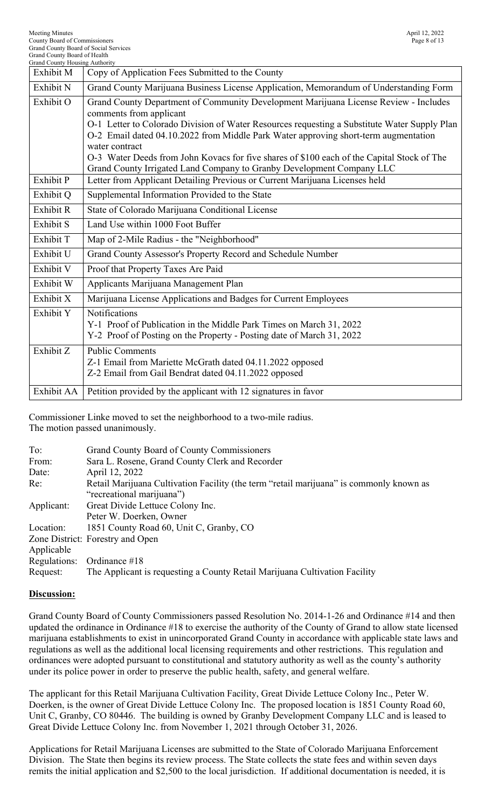| <b>Grand County Housing Authority</b> |                                                                                                                                                                                                                                                                                                                                                                                                                                                                                                 |
|---------------------------------------|-------------------------------------------------------------------------------------------------------------------------------------------------------------------------------------------------------------------------------------------------------------------------------------------------------------------------------------------------------------------------------------------------------------------------------------------------------------------------------------------------|
| Exhibit M                             | Copy of Application Fees Submitted to the County                                                                                                                                                                                                                                                                                                                                                                                                                                                |
| Exhibit N                             | Grand County Marijuana Business License Application, Memorandum of Understanding Form                                                                                                                                                                                                                                                                                                                                                                                                           |
| Exhibit O                             | Grand County Department of Community Development Marijuana License Review - Includes<br>comments from applicant<br>O-1 Letter to Colorado Division of Water Resources requesting a Substitute Water Supply Plan<br>O-2 Email dated 04.10.2022 from Middle Park Water approving short-term augmentation<br>water contract<br>O-3 Water Deeds from John Kovacs for five shares of \$100 each of the Capital Stock of The<br>Grand County Irrigated Land Company to Granby Development Company LLC |
| Exhibit P                             | Letter from Applicant Detailing Previous or Current Marijuana Licenses held                                                                                                                                                                                                                                                                                                                                                                                                                     |
| Exhibit Q                             | Supplemental Information Provided to the State                                                                                                                                                                                                                                                                                                                                                                                                                                                  |
| Exhibit R                             | State of Colorado Marijuana Conditional License                                                                                                                                                                                                                                                                                                                                                                                                                                                 |
| <b>Exhibit S</b>                      | Land Use within 1000 Foot Buffer                                                                                                                                                                                                                                                                                                                                                                                                                                                                |
| Exhibit T                             | Map of 2-Mile Radius - the "Neighborhood"                                                                                                                                                                                                                                                                                                                                                                                                                                                       |
| Exhibit U                             | Grand County Assessor's Property Record and Schedule Number                                                                                                                                                                                                                                                                                                                                                                                                                                     |
| Exhibit V                             | Proof that Property Taxes Are Paid                                                                                                                                                                                                                                                                                                                                                                                                                                                              |
| Exhibit W                             | Applicants Marijuana Management Plan                                                                                                                                                                                                                                                                                                                                                                                                                                                            |
| Exhibit X                             | Marijuana License Applications and Badges for Current Employees                                                                                                                                                                                                                                                                                                                                                                                                                                 |
| Exhibit Y                             | Notifications<br>Y-1 Proof of Publication in the Middle Park Times on March 31, 2022<br>Y-2 Proof of Posting on the Property - Posting date of March 31, 2022                                                                                                                                                                                                                                                                                                                                   |
| Exhibit Z                             | <b>Public Comments</b><br>Z-1 Email from Mariette McGrath dated 04.11.2022 opposed<br>Z-2 Email from Gail Bendrat dated 04.11.2022 opposed                                                                                                                                                                                                                                                                                                                                                      |
| Exhibit AA                            | Petition provided by the applicant with 12 signatures in favor                                                                                                                                                                                                                                                                                                                                                                                                                                  |

Commissioner Linke moved to set the neighborhood to a two-mile radius. The motion passed unanimously.

| To:        | <b>Grand County Board of County Commissioners</b>                                       |
|------------|-----------------------------------------------------------------------------------------|
| From:      | Sara L. Rosene, Grand County Clerk and Recorder                                         |
| Date:      | April 12, 2022                                                                          |
| Re:        | Retail Marijuana Cultivation Facility (the term "retail marijuana" is commonly known as |
|            | "recreational marijuana")                                                               |
| Applicant: | Great Divide Lettuce Colony Inc.                                                        |
|            | Peter W. Doerken, Owner                                                                 |
| Location:  | 1851 County Road 60, Unit C, Granby, CO                                                 |
|            | Zone District: Forestry and Open                                                        |
| Applicable |                                                                                         |
|            | Regulations: Ordinance $#18$                                                            |
| Request:   | The Applicant is requesting a County Retail Marijuana Cultivation Facility              |

# **Discussion:**

Grand County Board of County Commissioners passed Resolution No. 2014-1-26 and Ordinance #14 and then updated the ordinance in Ordinance #18 to exercise the authority of the County of Grand to allow state licensed marijuana establishments to exist in unincorporated Grand County in accordance with applicable state laws and regulations as well as the additional local licensing requirements and other restrictions. This regulation and ordinances were adopted pursuant to constitutional and statutory authority as well as the county's authority under its police power in order to preserve the public health, safety, and general welfare.

The applicant for this Retail Marijuana Cultivation Facility, Great Divide Lettuce Colony Inc., Peter W. Doerken, is the owner of Great Divide Lettuce Colony Inc. The proposed location is 1851 County Road 60, Unit C, Granby, CO 80446. The building is owned by Granby Development Company LLC and is leased to Great Divide Lettuce Colony Inc. from November 1, 2021 through October 31, 2026.

Applications for Retail Marijuana Licenses are submitted to the State of Colorado Marijuana Enforcement Division. The State then begins its review process. The State collects the state fees and within seven days remits the initial application and \$2,500 to the local jurisdiction. If additional documentation is needed, it is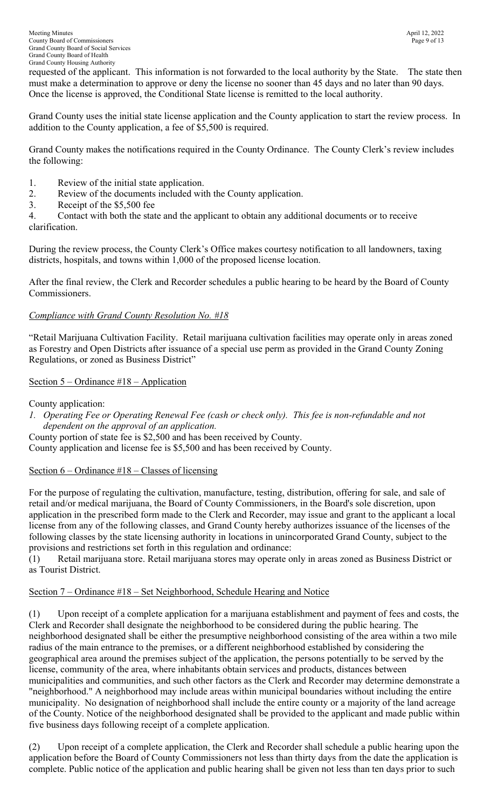requested of the applicant. This information is not forwarded to the local authority by the State. The state then must make a determination to approve or deny the license no sooner than 45 days and no later than 90 days. Once the license is approved, the Conditional State license is remitted to the local authority.

Grand County uses the initial state license application and the County application to start the review process. In addition to the County application, a fee of \$5,500 is required.

Grand County makes the notifications required in the County Ordinance. The County Clerk's review includes the following:

- 1. Review of the initial state application.
- 2. Review of the documents included with the County application.
- 3. Receipt of the \$5,500 fee

4. Contact with both the state and the applicant to obtain any additional documents or to receive clarification.

During the review process, the County Clerk's Office makes courtesy notification to all landowners, taxing districts, hospitals, and towns within 1,000 of the proposed license location.

After the final review, the Clerk and Recorder schedules a public hearing to be heard by the Board of County Commissioners.

# *Compliance with Grand County Resolution No. #18*

"Retail Marijuana Cultivation Facility. Retail marijuana cultivation facilities may operate only in areas zoned as Forestry and Open Districts after issuance of a special use perm as provided in the Grand County Zoning Regulations, or zoned as Business District"

# Section 5 – Ordinance #18 – Application

County application:

*1. Operating Fee or Operating Renewal Fee (cash or check only). This fee is non-refundable and not dependent on the approval of an application.* 

County portion of state fee is \$2,500 and has been received by County.

County application and license fee is \$5,500 and has been received by County.

# Section  $6$  – Ordinance  $\#18$  – Classes of licensing

For the purpose of regulating the cultivation, manufacture, testing, distribution, offering for sale, and sale of retail and/or medical marijuana, the Board of County Commissioners, in the Board's sole discretion, upon application in the prescribed form made to the Clerk and Recorder, may issue and grant to the applicant a local license from any of the following classes, and Grand County hereby authorizes issuance of the licenses of the following classes by the state licensing authority in locations in unincorporated Grand County, subject to the provisions and restrictions set forth in this regulation and ordinance:

(1) Retail marijuana store. Retail marijuana stores may operate only in areas zoned as Business District or as Tourist District.

# Section 7 – Ordinance #18 – Set Neighborhood, Schedule Hearing and Notice

(1) Upon receipt of a complete application for a marijuana establishment and payment of fees and costs, the Clerk and Recorder shall designate the neighborhood to be considered during the public hearing. The neighborhood designated shall be either the presumptive neighborhood consisting of the area within a two mile radius of the main entrance to the premises, or a different neighborhood established by considering the geographical area around the premises subject of the application, the persons potentially to be served by the license, community of the area, where inhabitants obtain services and products, distances between municipalities and communities, and such other factors as the Clerk and Recorder may determine demonstrate a "neighborhood." A neighborhood may include areas within municipal boundaries without including the entire municipality. No designation of neighborhood shall include the entire county or a majority of the land acreage of the County. Notice of the neighborhood designated shall be provided to the applicant and made public within five business days following receipt of a complete application.

(2) Upon receipt of a complete application, the Clerk and Recorder shall schedule a public hearing upon the application before the Board of County Commissioners not less than thirty days from the date the application is complete. Public notice of the application and public hearing shall be given not less than ten days prior to such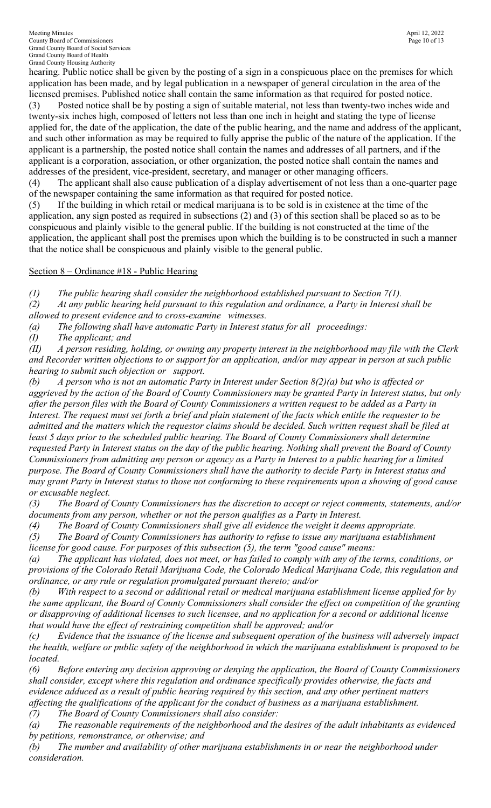Meeting Minutes<br>
April 12, 2022<br>
County Board of Commissioners<br>
Page 10 of 13 County Board of Commissioners Grand County Board of Social Services Grand County Board of Health Grand County Housing Authority

hearing. Public notice shall be given by the posting of a sign in a conspicuous place on the premises for which application has been made, and by legal publication in a newspaper of general circulation in the area of the licensed premises. Published notice shall contain the same information as that required for posted notice.

(3) Posted notice shall be by posting a sign of suitable material, not less than twenty-two inches wide and twenty-six inches high, composed of letters not less than one inch in height and stating the type of license applied for, the date of the application, the date of the public hearing, and the name and address of the applicant, and such other information as may be required to fully apprise the public of the nature of the application. If the applicant is a partnership, the posted notice shall contain the names and addresses of all partners, and if the applicant is a corporation, association, or other organization, the posted notice shall contain the names and addresses of the president, vice-president, secretary, and manager or other managing officers.

(4) The applicant shall also cause publication of a display advertisement of not less than a one-quarter page of the newspaper containing the same information as that required for posted notice.

(5) If the building in which retail or medical marijuana is to be sold is in existence at the time of the application, any sign posted as required in subsections (2) and (3) of this section shall be placed so as to be conspicuous and plainly visible to the general public. If the building is not constructed at the time of the application, the applicant shall post the premises upon which the building is to be constructed in such a manner that the notice shall be conspicuous and plainly visible to the general public.

Section 8 – Ordinance #18 - Public Hearing

*(1) The public hearing shall consider the neighborhood established pursuant to Section 7(1). (2) At any public hearing held pursuant to this regulation and ordinance, a Party in Interest shall be* 

*allowed to present evidence and to cross-examine witnesses.* 

*(a) The following shall have automatic Party in Interest status for all proceedings:* 

*(I) The applicant; and* 

*(II) A person residing, holding, or owning any property interest in the neighborhood may file with the Clerk and Recorder written objections to or support for an application, and/or may appear in person at such public hearing to submit such objection or support.* 

*(b) A person who is not an automatic Party in Interest under Section 8(2)(a) but who is affected or aggrieved by the action of the Board of County Commissioners may be granted Party in Interest status, but only after the person files with the Board of County Commissioners a written request to be added as a Party in Interest. The request must set forth a brief and plain statement of the facts which entitle the requester to be admitted and the matters which the requestor claims should be decided. Such written request shall be filed at*  least 5 days prior to the scheduled public hearing. The Board of County Commissioners shall determine *requested Party in Interest status on the day of the public hearing. Nothing shall prevent the Board of County Commissioners from admitting any person or agency as a Party in Interest to a public hearing for a limited purpose. The Board of County Commissioners shall have the authority to decide Party in Interest status and may grant Party in Interest status to those not conforming to these requirements upon a showing of good cause or excusable neglect.* 

*(3) The Board of County Commissioners has the discretion to accept or reject comments, statements, and/or documents from any person, whether or not the person qualifies as a Party in Interest.* 

*(4) The Board of County Commissioners shall give all evidence the weight it deems appropriate.* 

*(5) The Board of County Commissioners has authority to refuse to issue any marijuana establishment license for good cause. For purposes of this subsection (5), the term "good cause" means:* 

*(a) The applicant has violated, does not meet, or has failed to comply with any of the terms, conditions, or provisions of the Colorado Retail Marijuana Code, the Colorado Medical Marijuana Code, this regulation and ordinance, or any rule or regulation promulgated pursuant thereto; and/or* 

*(b) With respect to a second or additional retail or medical marijuana establishment license applied for by the same applicant, the Board of County Commissioners shall consider the effect on competition of the granting or disapproving of additional licenses to such licensee, and no application for a second or additional license that would have the effect of restraining competition shall be approved; and/or* 

*(c) Evidence that the issuance of the license and subsequent operation of the business will adversely impact the health, welfare or public safety of the neighborhood in which the marijuana establishment is proposed to be located.* 

*(6) Before entering any decision approving or denying the application, the Board of County Commissioners shall consider, except where this regulation and ordinance specifically provides otherwise, the facts and evidence adduced as a result of public hearing required by this section, and any other pertinent matters affecting the qualifications of the applicant for the conduct of business as a marijuana establishment. (7) The Board of County Commissioners shall also consider:* 

*(a) The reasonable requirements of the neighborhood and the desires of the adult inhabitants as evidenced by petitions, remonstrance, or otherwise; and* 

*(b) The number and availability of other marijuana establishments in or near the neighborhood under consideration.*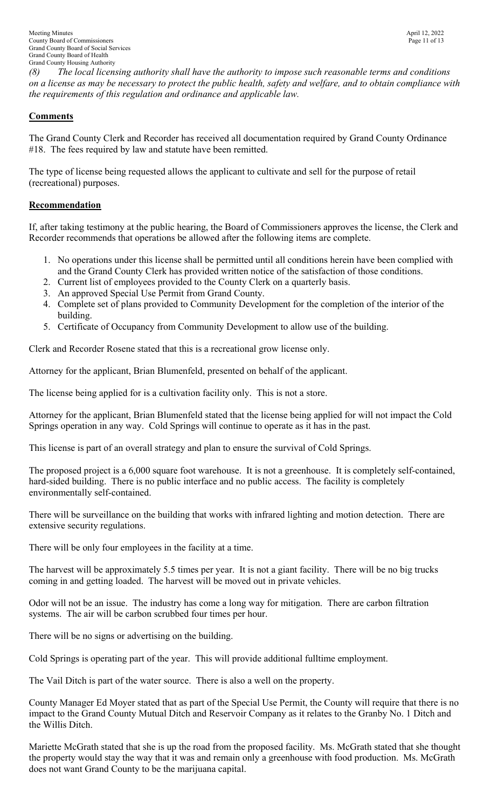*(8) The local licensing authority shall have the authority to impose such reasonable terms and conditions on a license as may be necessary to protect the public health, safety and welfare, and to obtain compliance with the requirements of this regulation and ordinance and applicable law.* 

# **Comments**

The Grand County Clerk and Recorder has received all documentation required by Grand County Ordinance #18. The fees required by law and statute have been remitted.

The type of license being requested allows the applicant to cultivate and sell for the purpose of retail (recreational) purposes.

# **Recommendation**

If, after taking testimony at the public hearing, the Board of Commissioners approves the license, the Clerk and Recorder recommends that operations be allowed after the following items are complete.

- 1. No operations under this license shall be permitted until all conditions herein have been complied with and the Grand County Clerk has provided written notice of the satisfaction of those conditions.
- 2. Current list of employees provided to the County Clerk on a quarterly basis.
- 3. An approved Special Use Permit from Grand County.
- 4. Complete set of plans provided to Community Development for the completion of the interior of the building.
- 5. Certificate of Occupancy from Community Development to allow use of the building.

Clerk and Recorder Rosene stated that this is a recreational grow license only.

Attorney for the applicant, Brian Blumenfeld, presented on behalf of the applicant.

The license being applied for is a cultivation facility only. This is not a store.

Attorney for the applicant, Brian Blumenfeld stated that the license being applied for will not impact the Cold Springs operation in any way. Cold Springs will continue to operate as it has in the past.

This license is part of an overall strategy and plan to ensure the survival of Cold Springs.

The proposed project is a 6,000 square foot warehouse. It is not a greenhouse. It is completely self-contained, hard-sided building. There is no public interface and no public access. The facility is completely environmentally self-contained.

There will be surveillance on the building that works with infrared lighting and motion detection. There are extensive security regulations.

There will be only four employees in the facility at a time.

The harvest will be approximately 5.5 times per year. It is not a giant facility. There will be no big trucks coming in and getting loaded. The harvest will be moved out in private vehicles.

Odor will not be an issue. The industry has come a long way for mitigation. There are carbon filtration systems. The air will be carbon scrubbed four times per hour.

There will be no signs or advertising on the building.

Cold Springs is operating part of the year. This will provide additional fulltime employment.

The Vail Ditch is part of the water source. There is also a well on the property.

County Manager Ed Moyer stated that as part of the Special Use Permit, the County will require that there is no impact to the Grand County Mutual Ditch and Reservoir Company as it relates to the Granby No. 1 Ditch and the Willis Ditch.

Mariette McGrath stated that she is up the road from the proposed facility. Ms. McGrath stated that she thought the property would stay the way that it was and remain only a greenhouse with food production. Ms. McGrath does not want Grand County to be the marijuana capital.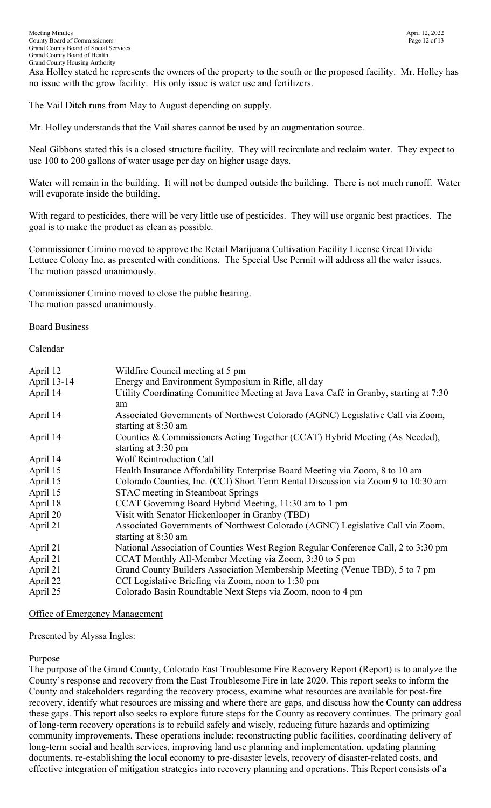Asa Holley stated he represents the owners of the property to the south or the proposed facility. Mr. Holley has no issue with the grow facility. His only issue is water use and fertilizers.

The Vail Ditch runs from May to August depending on supply.

Mr. Holley understands that the Vail shares cannot be used by an augmentation source.

Neal Gibbons stated this is a closed structure facility. They will recirculate and reclaim water. They expect to use 100 to 200 gallons of water usage per day on higher usage days.

Water will remain in the building. It will not be dumped outside the building. There is not much runoff. Water will evaporate inside the building.

With regard to pesticides, there will be very little use of pesticides. They will use organic best practices. The goal is to make the product as clean as possible.

Commissioner Cimino moved to approve the Retail Marijuana Cultivation Facility License Great Divide Lettuce Colony Inc. as presented with conditions. The Special Use Permit will address all the water issues. The motion passed unanimously.

Commissioner Cimino moved to close the public hearing. The motion passed unanimously.

## Board Business

## Calendar

| April 12<br>April 13-14<br>April 14 | Wildfire Council meeting at 5 pm<br>Energy and Environment Symposium in Rifle, all day<br>Utility Coordinating Committee Meeting at Java Lava Café in Granby, starting at 7:30 |
|-------------------------------------|--------------------------------------------------------------------------------------------------------------------------------------------------------------------------------|
|                                     | am                                                                                                                                                                             |
| April 14                            | Associated Governments of Northwest Colorado (AGNC) Legislative Call via Zoom,<br>starting at 8:30 am                                                                          |
| April 14                            | Counties & Commissioners Acting Together (CCAT) Hybrid Meeting (As Needed),<br>starting at 3:30 pm                                                                             |
| April 14                            | <b>Wolf Reintroduction Call</b>                                                                                                                                                |
| April 15                            | Health Insurance Affordability Enterprise Board Meeting via Zoom, 8 to 10 am                                                                                                   |
| April 15                            | Colorado Counties, Inc. (CCI) Short Term Rental Discussion via Zoom 9 to 10:30 am                                                                                              |
| April 15                            | <b>STAC</b> meeting in Steamboat Springs                                                                                                                                       |
| April 18                            | CCAT Governing Board Hybrid Meeting, 11:30 am to 1 pm                                                                                                                          |
| April 20                            | Visit with Senator Hickenlooper in Granby (TBD)                                                                                                                                |
| April 21                            | Associated Governments of Northwest Colorado (AGNC) Legislative Call via Zoom,<br>starting at 8:30 am                                                                          |
| April 21                            | National Association of Counties West Region Regular Conference Call, 2 to 3:30 pm                                                                                             |
| April 21                            | CCAT Monthly All-Member Meeting via Zoom, 3:30 to 5 pm                                                                                                                         |
| April 21                            | Grand County Builders Association Membership Meeting (Venue TBD), 5 to 7 pm                                                                                                    |
| April 22                            | CCI Legislative Briefing via Zoom, noon to 1:30 pm                                                                                                                             |
| April 25                            | Colorado Basin Roundtable Next Steps via Zoom, noon to 4 pm                                                                                                                    |

## Office of Emergency Management

## Presented by Alyssa Ingles:

## Purpose

The purpose of the Grand County, Colorado East Troublesome Fire Recovery Report (Report) is to analyze the County's response and recovery from the East Troublesome Fire in late 2020. This report seeks to inform the County and stakeholders regarding the recovery process, examine what resources are available for post-fire recovery, identify what resources are missing and where there are gaps, and discuss how the County can address these gaps. This report also seeks to explore future steps for the County as recovery continues. The primary goal of long-term recovery operations is to rebuild safely and wisely, reducing future hazards and optimizing community improvements. These operations include: reconstructing public facilities, coordinating delivery of long-term social and health services, improving land use planning and implementation, updating planning documents, re-establishing the local economy to pre-disaster levels, recovery of disaster-related costs, and effective integration of mitigation strategies into recovery planning and operations. This Report consists of a